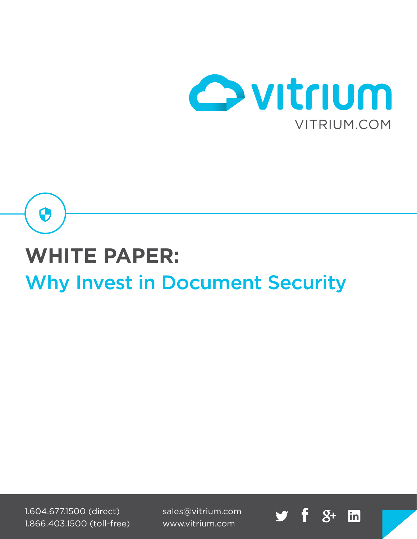

linl

# **WHITE PAPER:** Why Invest in Document Security

1.604.677.1500 (direct) 1.866.403.1500 (toll-free)

 $\mathbf \Theta$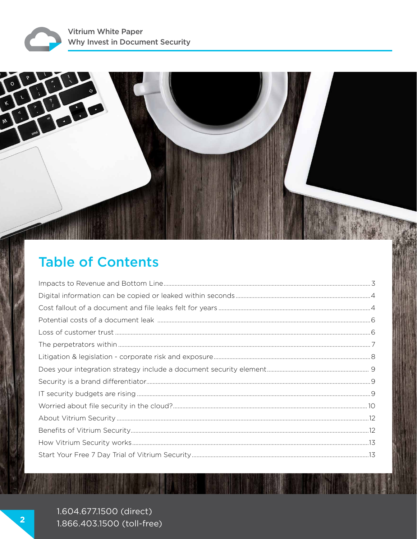

# **Table of Contents**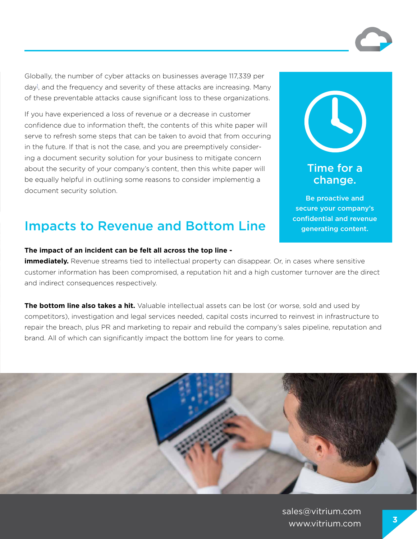Globally, the number of cyber attacks on businesses average 117,339 per day<sup>1</sup>, and the frequency and severity of these attacks are increasing. Many of these preventable attacks cause significant loss to these organizations.

If you have experienced a loss of revenue or a decrease in customer confidence due to information theft, the contents of this white paper will serve to refresh some steps that can be taken to avoid that from occuring in the future. If that is not the case, and you are preemptively considering a document security solution for your business to mitigate concern about the security of your company's content, then this white paper will be equally helpful in outlining some reasons to consider implementig a document security solution.

### Impacts to Revenue and Bottom Line

**The impact of an incident can be felt all across the top line -** 

**immediately.** Revenue streams tied to intellectual property can disappear. Or, in cases where sensitive customer information has been compromised, a reputation hit and a high customer turnover are the direct and indirect consequences respectively.

**The bottom line also takes a hit.** Valuable intellectual assets can be lost (or worse, sold and used by competitors), investigation and legal services needed, capital costs incurred to reinvest in infrastructure to repair the breach, plus PR and marketing to repair and rebuild the company's sales pipeline, reputation and brand. All of which can significantly impact the bottom line for years to come.

> sales@vitrium.com www.vitrium.com **<sup>3</sup>**

Time for a change.

Be proactive and secure your company's confidential and revenue generating content.

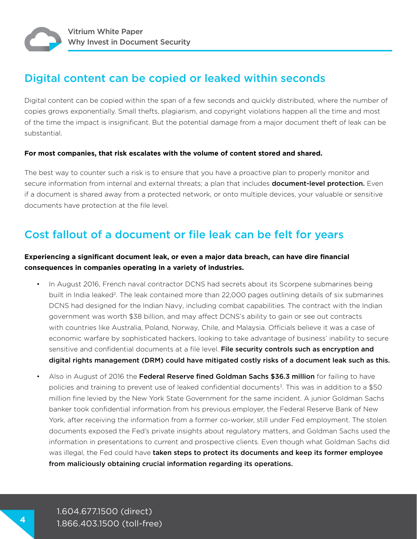#### Digital content can be copied or leaked within seconds

Digital content can be copied within the span of a few seconds and quickly distributed, where the number of copies grows exponentially. Small thefts, plagiarism, and copyright violations happen all the time and most of the time the impact is insignificant. But the potential damage from a major document theft of leak can be substantial.

#### **For most companies, that risk escalates with the volume of content stored and shared.**

The best way to counter such a risk is to ensure that you have a proactive plan to properly monitor and secure information from internal and external threats; a plan that includes **document-level protection.** Even if a document is shared away from a protected network, or onto multiple devices, your valuable or sensitive documents have protection at the file level.

#### Cost fallout of a document or file leak can be felt for years

#### **Experiencing a significant document leak, or even a major data breach, can have dire financial consequences in companies operating in a variety of industries.**

- In August 2016, French naval contractor DCNS had secrets about its Scorpene submarines being built in India leaked<sup>2</sup>. The leak contained more than 22,000 pages outlining details of six submarines DCNS had designed for the Indian Navy, including combat capabilities. The contract with the Indian government was worth \$38 billion, and may affect DCNS's ability to gain or see out contracts with countries like Australia, Poland, Norway, Chile, and Malaysia. Officials believe it was a case of economic warfare by sophisticated hackers, looking to take advantage of business' inability to secure sensitive and confidential documents at a file level. File security controls such as encryption and digital rights management (DRM) could have mitigated costly risks of a document leak such as this.
- Also in August of 2016 the Federal Reserve fined Goldman Sachs \$36.3 million for failing to have policies and training to prevent use of leaked confidential documents<sup>3</sup>. This was in addition to a \$50 million fine levied by the New York State Government for the same incident. A junior Goldman Sachs banker took confidential information from his previous employer, the Federal Reserve Bank of New York, after receiving the information from a former co-worker, still under Fed employment. The stolen documents exposed the Fed's private insights about regulatory matters, and Goldman Sachs used the information in presentations to current and prospective clients. Even though what Goldman Sachs did was illegal, the Fed could have taken steps to protect its documents and keep its former employee from maliciously obtaining crucial information regarding its operations.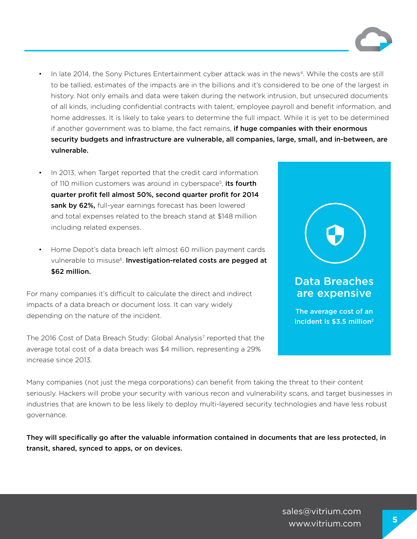- In late 2014, the Sony Pictures Entertainment cyber attack was in the news<sup>4</sup>. While the costs are still to be tallied, estimates of the impacts are in the billions and it's considered to be one of the largest in history. Not only emails and data were taken during the network intrusion, but unsecured documents of all kinds, including confidential contracts with talent, employee payroll and benefit information, and home addresses. It is likely to take years to determine the full impact. While it is yet to be determined if another government was to blame, the fact remains, **if huge companies with their enormous** security budgets and infrastructure are vulnerable, all companies, large, small, and in-between, are vulnerable.
- In 2013, when Target reported that the credit card information of 110 million customers was around in cyberspace<sup>5</sup>, its fourth quarter profit fell almost 50%, second quarter profit for 2014 sank by 62%, full-year earnings forecast has been lowered and total expenses related to the breach stand at \$148 million including related expenses.
- Home Depot's data breach left almost 60 million payment cards vulnerable to misuse<sup>6</sup>. Investigation-related costs are pegged at \$62 million.

For many companies it's difficult to calculate the direct and indirect impacts of a data breach or document loss. It can vary widely depending on the nature of the incident.

The 2016 Cost of Data Breach Study: Global Analysis<sup>7</sup> reported that the average total cost of a data breach was \$4 million, representing a 29% increase since 2013.



#### Data Breaches are expensive

The average cost of an incident is \$3.5 million<sup>2</sup>

Many companies (not just the mega corporations) can benefit from taking the threat to their content seriously. Hackers will probe your security with various recon and vulnerability scans, and target businesses in industries that are known to be less likely to deploy multi-layered security technologies and have less robust governance.

They will specifically go after the valuable information contained in documents that are less protected, in transit, shared, synced to apps, or on devices.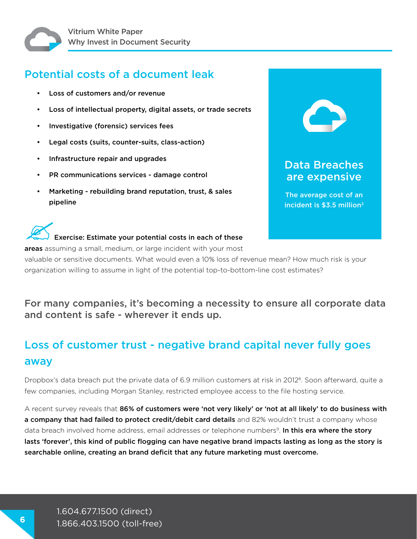#### Potential costs of a document leak

- Loss of customers and/or revenue
- Loss of intellectual property, digital assets, or trade secrets
- Investigative (forensic) services fees
- Legal costs (suits, counter-suits, class-action)
- Infrastructure repair and upgrades
- PR communications services damage control
- Marketing rebuilding brand reputation, trust, & sales pipeline



areas assuming a small, medium, or large incident with your most

valuable or sensitive documents. What would even a 10% loss of revenue mean? How much risk is your organization willing to assume in light of the potential top-to-bottom-line cost estimates?

Data Breaches are expensive

The average cost of an incident is \$3.5 million<sup>2</sup>

#### For many companies, it's becoming a necessity to ensure all corporate data and content is safe - wherever it ends up.

### Loss of customer trust - negative brand capital never fully goes away

Dropbox's data breach put the private data of 6.9 million customers at risk in 2012<sup>8</sup>. Soon afterward, quite a few companies, including Morgan Stanley, restricted employee access to the file hosting service.

A recent survey reveals that 86% of customers were 'not very likely' or 'not at all likely' to do business with a company that had failed to protect credit/debit card details and 82% wouldn't trust a company whose data breach involved home address, email addresses or telephone numbers<sup>9</sup>. In this era where the story lasts 'forever', this kind of public flogging can have negative brand impacts lasting as long as the story is searchable online, creating an brand deficit that any future marketing must overcome.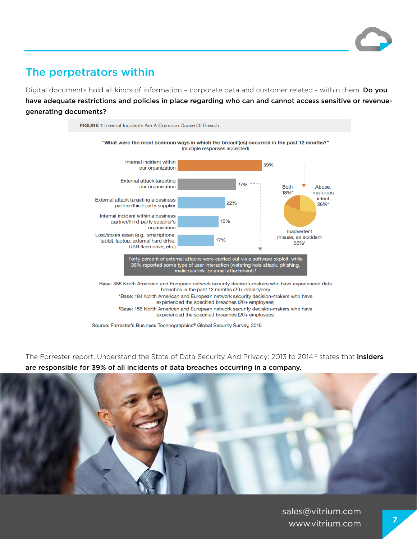

#### The perpetrators within

Digital documents hold all kinds of information - corporate data and customer related - within them. Do you have adequate restrictions and policies in place regarding who can and cannot access sensitive or revenuegenerating documents?



Source: Forrester's Business Technographics® Global Security Survey, 2015

The Forrester report, Understand the State of Data Security And Privacy: 2013 to 2014<sup>10</sup> states that *insiders* are responsible for 39% of all incidents of data breaches occurring in a company.

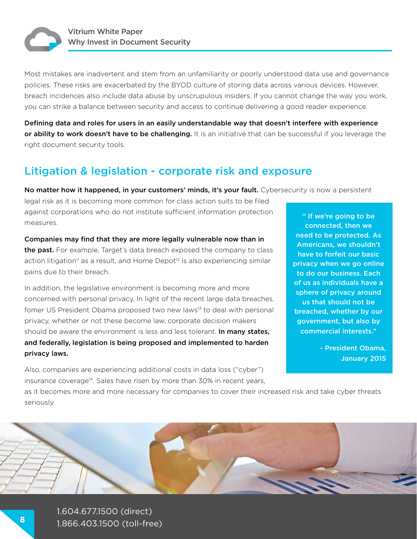

Most mistakes are inadvertent and stem from an unfamiliarity or poorly understood data use and governance policies. These risks are exacerbated by the BYOD culture of storing data across various devices. However, breach incidences also include data abuse by unscrupulous insiders. If you cannot change the way you work, you can strike a balance between security and access to continue delivering a good reader experience.

Defining data and roles for users in an easily understandable way that doesn't interfere with experience or ability to work doesn't have to be challenging. It is an initiative that can be successful if you leverage the right document security tools.

#### Litigation & legislation - corporate risk and exposure

No matter how it happened, in your customers' minds, it's your fault. Cybersecurity is now a persistent

legal risk as it is becoming more common for class action suits to be filed against corporations who do not institute sufficient information protection measures.

Companies may find that they are more legally vulnerable now than in the past. For example, Target's data breach exposed the company to class action litigation<sup>11</sup> as a result, and Home Depot<sup>12</sup> is also experiencing similar pains due to their breach.

In addition, the legislative environment is becoming more and more concerned with personal privacy. In light of the recent large data breaches, fomer US President Obama proposed two new laws<sup>13</sup> to deal with personal privacy, whether or not these become law, corporate decision makers should be aware the environment is less and less tolerant. In many states, and federally, legislation is being proposed and implemented to harden privacy laws.

Also, companies are experiencing additional costs in data loss ("cyber") insurance coverage<sup>14</sup>. Sales have risen by more than 30% in recent years,

" If we're going to be connected, then we need to be protected. As Americans, we shouldn't have to forfeit our basic privacy when we go online to do our business. Each of us as individuals have a sphere of privacy around us that should not be breached, whether by our government, but also by commercial interests."

> - President Obama, January 2015

as it becomes more and more necessary for companies to cover their increased risk and take cyber threats seriously.

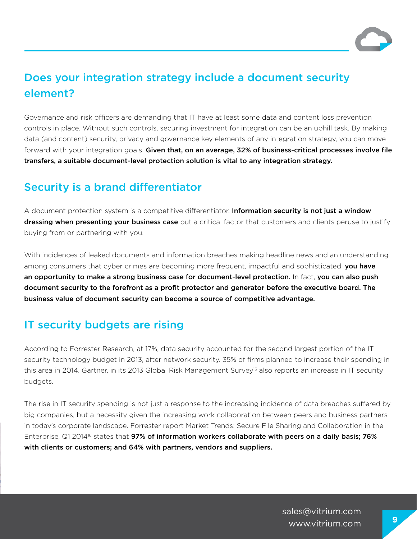

### Does your integration strategy include a document security element?

Governance and risk officers are demanding that IT have at least some data and content loss prevention controls in place. Without such controls, securing investment for integration can be an uphill task. By making data (and content) security, privacy and governance key elements of any integration strategy, you can move forward with your integration goals. Given that, on an average, 32% of business-critical processes involve file transfers, a suitable document-level protection solution is vital to any integration strategy.

#### Security is a brand differentiator

A document protection system is a competitive differentiator. Information security is not just a window dressing when presenting your business case but a critical factor that customers and clients peruse to justify buying from or partnering with you.

With incidences of leaked documents and information breaches making headline news and an understanding among consumers that cyber crimes are becoming more frequent, impactful and sophisticated, you have an opportunity to make a strong business case for document-level protection. In fact, you can also push document security to the forefront as a profit protector and generator before the executive board. The business value of document security can become a source of competitive advantage.

#### IT security budgets are rising

According to Forrester Research, at 17%, data security accounted for the second largest portion of the IT security technology budget in 2013, after network security. 35% of firms planned to increase their spending in this area in 2014. Gartner, in its 2013 Global Risk Management Survey<sup>15</sup> also reports an increase in IT security budgets.

The rise in IT security spending is not just a response to the increasing incidence of data breaches suffered by big companies, but a necessity given the increasing work collaboration between peers and business partners in today's corporate landscape. Forrester report Market Trends: Secure File Sharing and Collaboration in the Enterprise, Q1 2014<sup>16</sup> states that **97% of information workers collaborate with peers on a daily basis; 76%** with clients or customers; and 64% with partners, vendors and suppliers.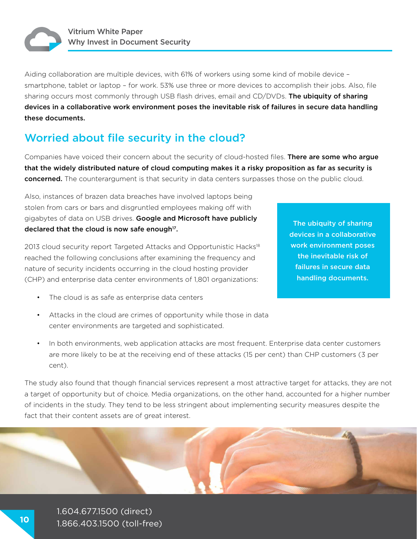

Aiding collaboration are multiple devices, with 61% of workers using some kind of mobile device – smartphone, tablet or laptop – for work. 53% use three or more devices to accomplish their jobs. Also, file sharing occurs most commonly through USB flash drives, email and CD/DVDs. The ubiquity of sharing devices in a collaborative work environment poses the inevitable risk of failures in secure data handling these documents.

#### Worried about file security in the cloud?

Companies have voiced their concern about the security of cloud-hosted files. There are some who argue that the widely distributed nature of cloud computing makes it a risky proposition as far as security is concerned. The counterargument is that security in data centers surpasses those on the public cloud.

Also, instances of brazen data breaches have involved laptops being stolen from cars or bars and disgruntled employees making off with gigabytes of data on USB drives. Google and Microsoft have publicly declared that the cloud is now safe enough $17$ .

2013 cloud security report Targeted Attacks and Opportunistic Hacks<sup>18</sup> reached the following conclusions after examining the frequency and nature of security incidents occurring in the cloud hosting provider (CHP) and enterprise data center environments of 1,801 organizations:

- The cloud is as safe as enterprise data centers
- Attacks in the cloud are crimes of opportunity while those in data center environments are targeted and sophisticated.
- The ubiquity of sharing devices in a collaborative work environment poses the inevitable risk of failures in secure data handling documents.

• In both environments, web application attacks are most frequent. Enterprise data center customers are more likely to be at the receiving end of these attacks (15 per cent) than CHP customers (3 per cent).

The study also found that though financial services represent a most attractive target for attacks, they are not a target of opportunity but of choice. Media organizations, on the other hand, accounted for a higher number of incidents in the study. They tend to be less stringent about implementing security measures despite the fact that their content assets are of great interest.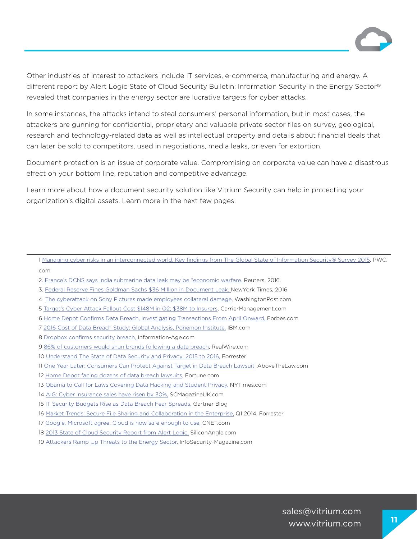

Other industries of interest to attackers include IT services, e-commerce, manufacturing and energy. A different report by Alert Logic State of Cloud Security Bulletin: Information Security in the Energy Sector<sup>19</sup> revealed that companies in the energy sector are lucrative targets for cyber attacks.

In some instances, the attacks intend to steal consumers' personal information, but in most cases, the attackers are gunning for confidential, proprietary and valuable private sector files on survey, geological, research and technology-related data as well as intellectual property and details about financial deals that can later be sold to competitors, used in negotiations, media leaks, or even for extortion.

Document protection is an issue of corporate value. Compromising on corporate value can have a disastrous effect on your bottom line, reputation and competitive advantage.

Learn more about how a document security solution like Vitrium Security can help in protecting your organization's digital assets. Learn more in the next few pages.

- 2. France's DCNS says India submarine data leak may be "economic warfare. Reuters. 2016.
- 3. Federal Reserve Fines Goldman Sachs \$36 Million in Document Leak. NewYork Times, 2016
- 4. The cyberattack on Sony Pictures made employees collateral damage, WashingtonPost.com
- 5 Target's Cyber Attack Fallout Cost \$148M in Q2; \$38M to Insurers, CarrierManagement.com
- 6 Home Depot Confirms Data Breach, Investigating Transactions From April Onward, Forbes.com
- 7 2016 Cost of Data Breach Study: Global Analysis, Ponemon Institute, IBM.com
- 8 Dropbox confirms security breach, Information-Age.com
- 9 86% of customers would shun brands following a data breach, RealWire.com
- 10 Understand The State of Data Security and Privacy: 2015 to 2016, Forrester
- 11 One Year Later: Consumers Can Protect Against Target in Data Breach Lawsuit, AboveTheLaw.com
- 12 Home Depot facing dozens of data breach lawsuits, Fortune.com
- 13 Obama to Call for Laws Covering Data Hacking and Student Privacy, NYTimes.com
- 14 AIG: Cyber insurance sales have risen by 30%, SCMagazineUK.com
- 15 IT Security Budgets Rise as Data Breach Fear Spreads, Gartner Blog
- 16 Market Trends: Secure File Sharing and Collaboration in the Enterprise, Q1 2014, Forrester
- 17 Google, Microsoft agree: Cloud is now safe enough to use, CNET.com
- 18 2013 State of Cloud Security Report from Alert Logic, SiliconAngle.com
- 19 Attackers Ramp Up Threats to the Energy Sector, InfoSecurity-Magazine.com

<sup>1</sup> Managing cyber risks in an interconnected world. Key findings from The Global State of Information Security® Survey 2015, PWC. com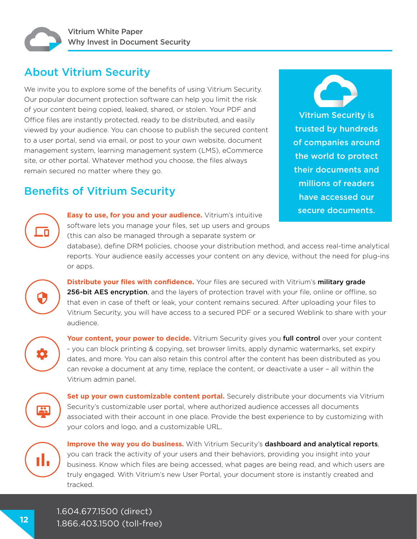

#### About Vitrium Security

We invite you to explore some of the benefits of using Vitrium Security. Our popular document protection software can help you limit the risk of your content being copied, leaked, shared, or stolen. Your PDF and Office files are instantly protected, ready to be distributed, and easily viewed by your audience. You can choose to publish the secured content to a user portal, send via email, or post to your own website, document management system, learning management system (LMS), eCommerce site, or other portal. Whatever method you choose, the files always remain secured no matter where they go.

#### Benefits of Vitrium Security

**Easy to use, for you and your audience.** Vitrium's intuitive **Easy to use, for you and your audience.** Vitrium's intuitive software lets you manage your files, set up users and groups (this can also be managed through a separate system or

Vitrium Security is trusted by hundreds of companies around the world to protect their documents and millions of readers have accessed our

database), define DRM policies, choose your distribution method, and access real-time analytical reports. Your audience easily accesses your content on any device, without the need for plug-ins or apps.

**Distribute your files with confidence.** Your files are secured with Vitrium's military grade 256-bit AES encryption, and the layers of protection travel with your file, online or offline, so that even in case of theft or leak, your content remains secured. After uploading your files to Vitrium Security, you will have access to a secured PDF or a secured Weblink to share with your audience.

. C

**Your content, your power to decide.** Vitrium Security gives you full control over your content - you can block printing & copying, set browser limits, apply dynamic watermarks, set expiry dates, and more. You can also retain this control after the content has been distributed as you can revoke a document at any time, replace the content, or deactivate a user – all within the Vitrium admin panel.



**Set up your own customizable content portal.** Securely distribute your documents via Vitrium Security's customizable user portal, where authorized audience accesses all documents associated with their account in one place. Provide the best experience to by customizing with your colors and logo, and a customizable URL.



**Improve the way you do business.** With Vitrium Security's dashboard and analytical reports, you can track the activity of your users and their behaviors, providing you insight into your business. Know which files are being accessed, what pages are being read, and which users are truly engaged. With Vitrium's new User Portal, your document store is instantly created and tracked.